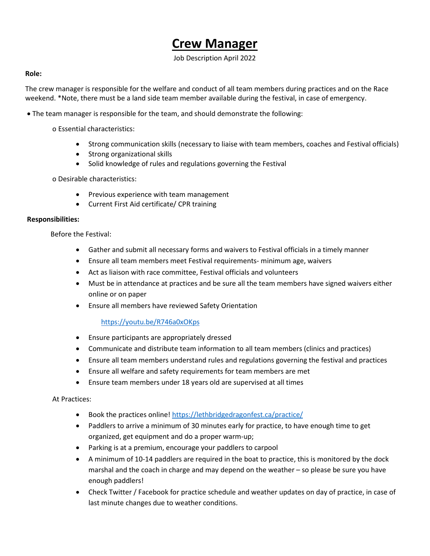# **Crew Manager**

Job Description April 2022

## **Role:**

The crew manager is responsible for the welfare and conduct of all team members during practices and on the Race weekend. \*Note, there must be a land side team member available during the festival, in case of emergency.

• The team manager is responsible for the team, and should demonstrate the following:

o Essential characteristics:

- Strong communication skills (necessary to liaise with team members, coaches and Festival officials)
- Strong organizational skills
- Solid knowledge of rules and regulations governing the Festival

o Desirable characteristics:

- Previous experience with team management
- Current First Aid certificate/ CPR training

#### **Responsibilities:**

Before the Festival:

- Gather and submit all necessary forms and waivers to Festival officials in a timely manner
- Ensure all team members meet Festival requirements- minimum age, waivers
- Act as liaison with race committee, Festival officials and volunteers
- Must be in attendance at practices and be sure all the team members have signed waivers either online or on paper
- Ensure all members have reviewed Safety Orientation

## <https://youtu.be/R746a0xOKps>

- Ensure participants are appropriately dressed
- Communicate and distribute team information to all team members (clinics and practices)
- Ensure all team members understand rules and regulations governing the festival and practices
- Ensure all welfare and safety requirements for team members are met
- Ensure team members under 18 years old are supervised at all times

#### At Practices:

- Book the practices online! <https://lethbridgedragonfest.ca/practice/>
- Paddlers to arrive a minimum of 30 minutes early for practice, to have enough time to get organized, get equipment and do a proper warm-up;
- Parking is at a premium, encourage your paddlers to carpool
- A minimum of 10-14 paddlers are required in the boat to practice, this is monitored by the dock marshal and the coach in charge and may depend on the weather – so please be sure you have enough paddlers!
- Check Twitter / Facebook for practice schedule and weather updates on day of practice, in case of last minute changes due to weather conditions.